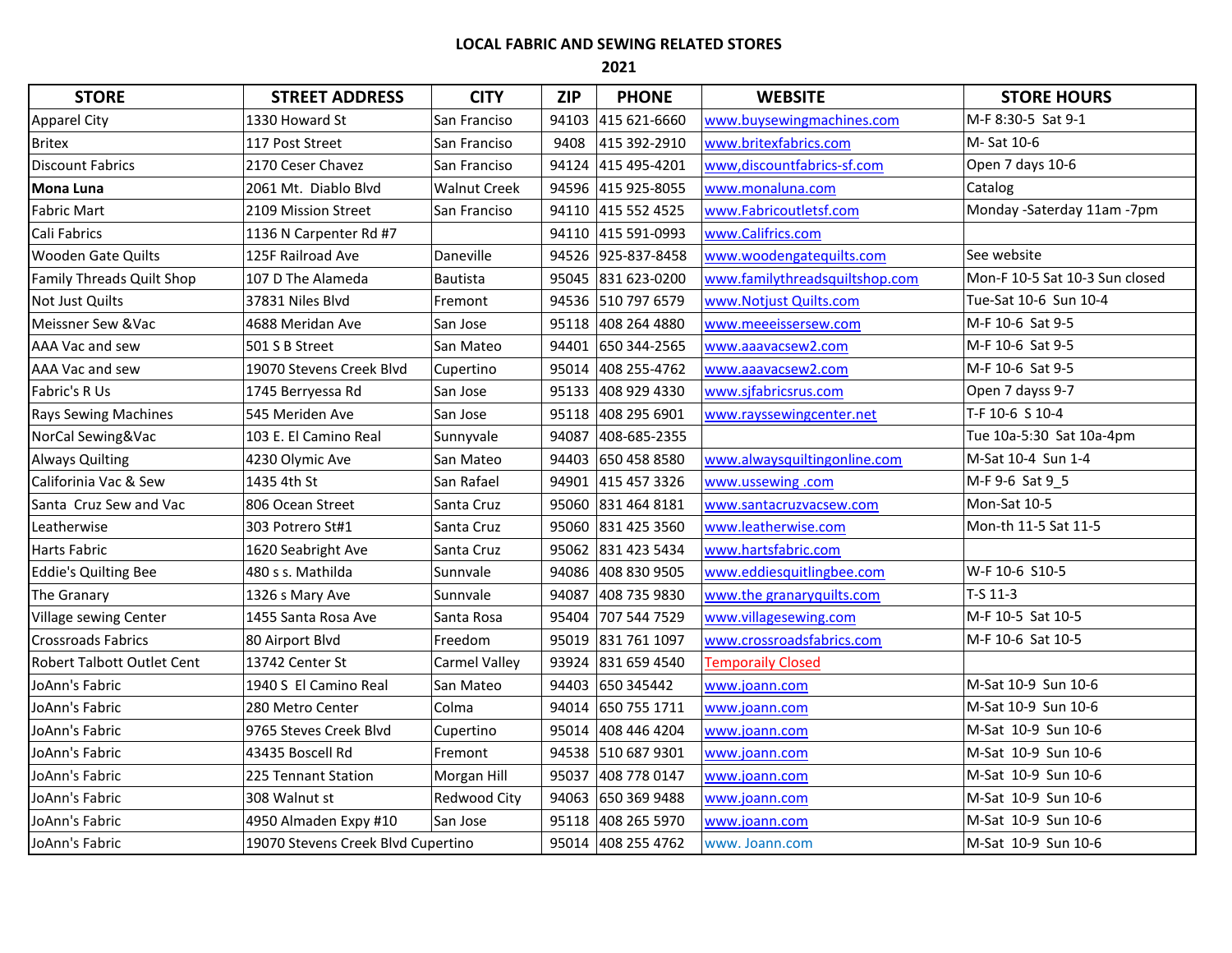## **LOCAL FABRIC AND SEWING RELATED STORES**

**2021**

| <b>STORE</b>                      | <b>STREET ADDRESS</b>              | <b>CITY</b>         | <b>ZIP</b> | <b>PHONE</b>       | <b>WEBSITE</b>                 | <b>STORE HOURS</b>             |
|-----------------------------------|------------------------------------|---------------------|------------|--------------------|--------------------------------|--------------------------------|
| <b>Apparel City</b>               | 1330 Howard St                     | San Franciso        | 94103      | 415 621-6660       | www.buysewingmachines.com      | M-F 8:30-5 Sat 9-1             |
| <b>Britex</b>                     | 117 Post Street                    | San Franciso        | 9408       | 415 392-2910       | www.britexfabrics.com          | M-Sat 10-6                     |
| <b>Discount Fabrics</b>           | 2170 Ceser Chavez                  | San Franciso        | 94124      | 415 495-4201       | www,discountfabrics-sf.com     | Open 7 days 10-6               |
| <b>Mona Luna</b>                  | 2061 Mt. Diablo Blvd               | <b>Walnut Creek</b> |            | 94596 415 925-8055 | www.monaluna.com               | Catalog                        |
| <b>Fabric Mart</b>                | 2109 Mission Street                | San Franciso        |            | 94110 415 552 4525 | www.Fabricoutletsf.com         | Monday -Saterday 11am -7pm     |
| Cali Fabrics                      | 1136 N Carpenter Rd #7             |                     |            | 94110 415 591-0993 | www.Califrics.com              |                                |
| <b>Wooden Gate Quilts</b>         | 125F Railroad Ave                  | Daneville           |            | 94526 925-837-8458 | www.woodengatequilts.com       | See website                    |
| <b>Family Threads Quilt Shop</b>  | 107 D The Alameda                  | Bautista            |            | 95045 831 623-0200 | www.familythreadsquiltshop.com | Mon-F 10-5 Sat 10-3 Sun closed |
| Not Just Quilts                   | 37831 Niles Blvd                   | Fremont             |            | 94536 510 797 6579 | www.Notjust Quilts.com         | Tue-Sat 10-6 Sun 10-4          |
| Meissner Sew & Vac                | 4688 Meridan Ave                   | San Jose            |            | 95118 408 264 4880 | www.meeeissersew.com           | M-F 10-6 Sat 9-5               |
| AAA Vac and sew                   | 501 S B Street                     | San Mateo           |            | 94401 650 344-2565 | www.aaavacsew2.com             | M-F 10-6 Sat 9-5               |
| AAA Vac and sew                   | 19070 Stevens Creek Blyd           | Cupertino           |            | 95014 408 255-4762 | www.aaavacsew2.com             | M-F 10-6 Sat 9-5               |
| Fabric's R Us                     | 1745 Berryessa Rd                  | San Jose            |            | 95133 408 929 4330 | www.sjfabricsrus.com           | Open 7 dayss 9-7               |
| <b>Rays Sewing Machines</b>       | 545 Meriden Ave                    | San Jose            | 95118      | 408 295 6901       | www.rayssewingcenter.net       | T-F 10-6 S 10-4                |
| NorCal Sewing&Vac                 | 103 E. El Camino Real              | Sunnyvale           | 94087      | 408-685-2355       |                                | Tue 10a-5:30 Sat 10a-4pm       |
| <b>Always Quilting</b>            | 4230 Olymic Ave                    | San Mateo           | 94403      | 650 458 8580       | www.alwaysquiltingonline.com   | M-Sat 10-4 Sun 1-4             |
| Califorinia Vac & Sew             | 1435 4th St                        | San Rafael          |            | 94901 415 457 3326 | www.ussewing.com               | M-F 9-6 Sat 9 5                |
| Santa Cruz Sew and Vac            | 806 Ocean Street                   | Santa Cruz          |            | 95060 831 464 8181 | www.santacruzvacsew.com        | Mon-Sat 10-5                   |
| Leatherwise                       | 303 Potrero St#1                   | Santa Cruz          |            | 95060 831 425 3560 | www.leatherwise.com            | Mon-th 11-5 Sat 11-5           |
| <b>Harts Fabric</b>               | 1620 Seabright Ave                 | Santa Cruz          |            | 95062 831 423 5434 | www.hartsfabric.com            |                                |
| <b>Eddie's Quilting Bee</b>       | 480 s s. Mathilda                  | Sunnvale            |            | 94086 408 830 9505 | www.eddiesquitlingbee.com      | W-F 10-6 S10-5                 |
| The Granary                       | 1326 s Mary Ave                    | Sunnvale            | 94087      | 408 735 9830       | www.the granaryquilts.com      | $T-S 11-3$                     |
| Village sewing Center             | 1455 Santa Rosa Ave                | Santa Rosa          | 95404      | 707 544 7529       | www.villagesewing.com          | M-F 10-5 Sat 10-5              |
| <b>Crossroads Fabrics</b>         | 80 Airport Blvd                    | Freedom             | 95019      | 831 761 1097       | www.crossroadsfabrics.com      | M-F 10-6 Sat 10-5              |
| <b>Robert Talbott Outlet Cent</b> | 13742 Center St                    | Carmel Valley       | 93924      | 831 659 4540       | <b>Temporaily Closed</b>       |                                |
| JoAnn's Fabric                    | 1940 S El Camino Real              | San Mateo           | 94403      | 650 345442         | www.joann.com                  | M-Sat 10-9 Sun 10-6            |
| JoAnn's Fabric                    | 280 Metro Center                   | Colma               |            | 94014 650 755 1711 | www.joann.com                  | M-Sat 10-9 Sun 10-6            |
| JoAnn's Fabric                    | 9765 Steves Creek Blvd             | Cupertino           | 95014      | 408 446 4204       | www.joann.com                  | M-Sat 10-9 Sun 10-6            |
| JoAnn's Fabric                    | 43435 Boscell Rd                   | Fremont             |            | 94538 510 687 9301 | www.joann.com                  | M-Sat 10-9 Sun 10-6            |
| JoAnn's Fabric                    | 225 Tennant Station                | Morgan Hill         | 95037      | 408 778 0147       | www.joann.com                  | M-Sat 10-9 Sun 10-6            |
| JoAnn's Fabric                    | 308 Walnut st                      | <b>Redwood City</b> | 94063      | 650 369 9488       | www.joann.com                  | M-Sat 10-9 Sun 10-6            |
| JoAnn's Fabric                    | 4950 Almaden Expy #10              | San Jose            |            | 95118 408 265 5970 | www.joann.com                  | M-Sat 10-9 Sun 10-6            |
| JoAnn's Fabric                    | 19070 Stevens Creek Blvd Cupertino |                     |            | 95014 408 255 4762 | www. Joann.com                 | M-Sat 10-9 Sun 10-6            |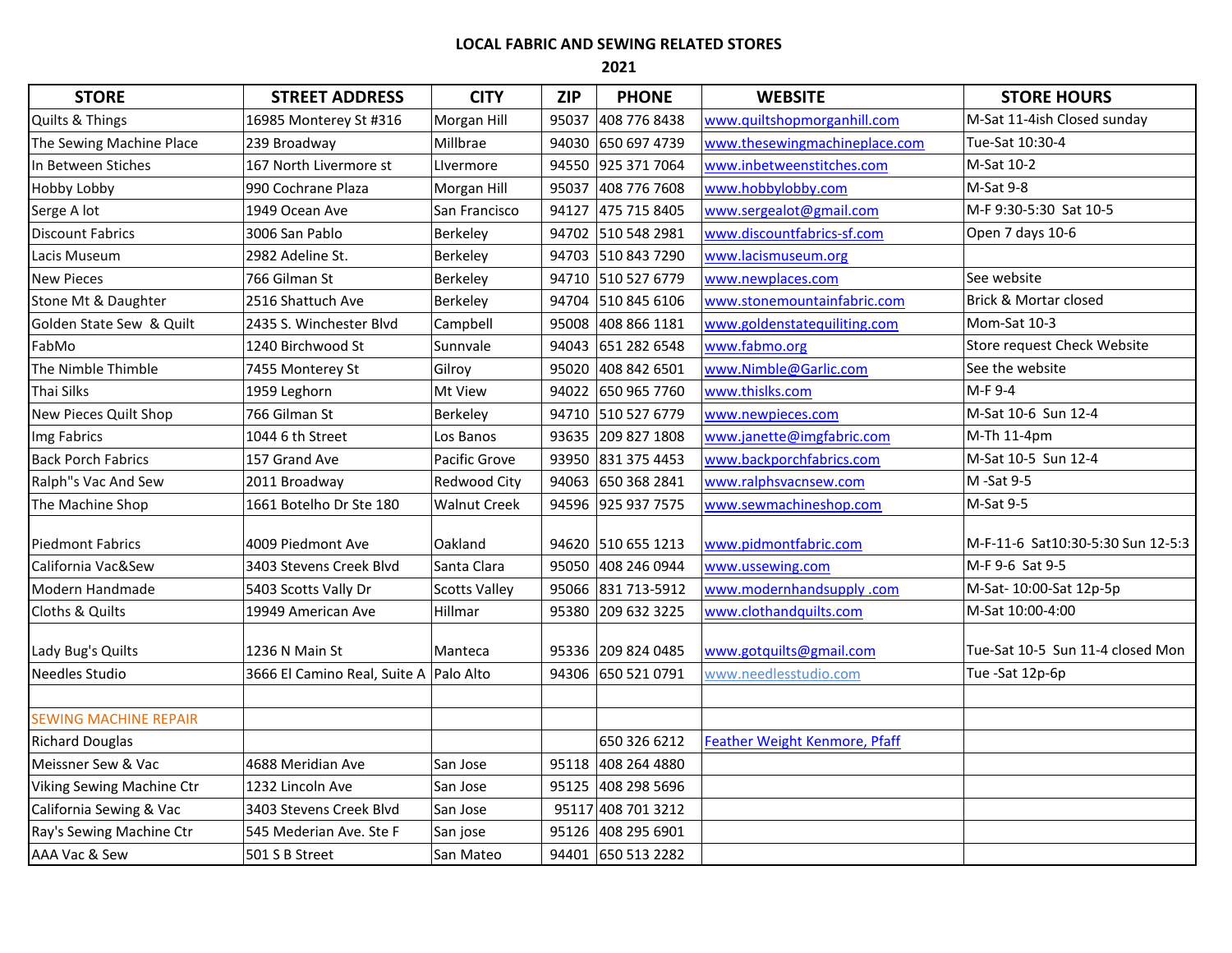## **LOCAL FABRIC AND SEWING RELATED STORES**

**2021**

| <b>STORE</b>                 | <b>STREET ADDRESS</b>                  | <b>CITY</b>          | <b>ZIP</b> | <b>PHONE</b>       | <b>WEBSITE</b>                       | <b>STORE HOURS</b>                |
|------------------------------|----------------------------------------|----------------------|------------|--------------------|--------------------------------------|-----------------------------------|
| Quilts & Things              | 16985 Monterey St #316                 | Morgan Hill          | 95037      | 408 776 8438       | www.quiltshopmorganhill.com          | M-Sat 11-4ish Closed sunday       |
| The Sewing Machine Place     | 239 Broadway                           | Millbrae             |            | 94030 650 697 4739 | www.thesewingmachineplace.com        | Tue-Sat 10:30-4                   |
| In Between Stiches           | 167 North Livermore st                 | Livermore            |            | 94550 925 371 7064 | www.inbetweenstitches.com            | M-Sat 10-2                        |
| <b>Hobby Lobby</b>           | 990 Cochrane Plaza                     | Morgan Hill          | 95037      | 408 776 7608       | www.hobbylobby.com                   | M-Sat 9-8                         |
| Serge A lot                  | 1949 Ocean Ave                         | San Francisco        | 94127      | 475 715 8405       | www.sergealot@gmail.com              | M-F 9:30-5:30 Sat 10-5            |
| <b>Discount Fabrics</b>      | 3006 San Pablo                         | Berkeley             |            | 94702 510 548 2981 | www.discountfabrics-sf.com           | Open 7 days 10-6                  |
| Lacis Museum                 | 2982 Adeline St.                       | Berkeley             |            | 94703 510 843 7290 | www.lacismuseum.org                  |                                   |
| <b>New Pieces</b>            | 766 Gilman St                          | Berkeley             |            | 94710 510 527 6779 | www.newplaces.com                    | See website                       |
| Stone Mt & Daughter          | 2516 Shattuch Ave                      | Berkeley             |            | 94704 510 845 6106 | www.stonemountainfabric.com          | <b>Brick &amp; Mortar closed</b>  |
| Golden State Sew & Quilt     | 2435 S. Winchester Blvd                | Campbell             | 95008      | 408 866 1181       | www.goldenstatequiliting.com         | Mom-Sat 10-3                      |
| FabMo                        | 1240 Birchwood St                      | Sunnvale             |            | 94043 651 282 6548 | www.fabmo.org                        | Store request Check Website       |
| The Nimble Thimble           | 7455 Monterey St                       | Gilroy               |            | 95020 408 842 6501 | www.Nimble@Garlic.com                | See the website                   |
| Thai Silks                   | 1959 Leghorn                           | Mt View              |            | 94022 650 965 7760 | www.thislks.com                      | M-F 9-4                           |
| New Pieces Quilt Shop        | 766 Gilman St                          | Berkeley             |            | 94710 510 527 6779 | www.newpieces.com                    | M-Sat 10-6 Sun 12-4               |
| Img Fabrics                  | 1044 6 th Street                       | Los Banos            |            | 93635 209 827 1808 | www.janette@imgfabric.com            | M-Th 11-4pm                       |
| <b>Back Porch Fabrics</b>    | 157 Grand Ave                          | Pacific Grove        |            | 93950 831 375 4453 | www.backporchfabrics.com             | M-Sat 10-5 Sun 12-4               |
| Ralph"s Vac And Sew          | 2011 Broadway                          | Redwood City         |            | 94063 650 368 2841 | www.ralphsvacnsew.com                | M -Sat 9-5                        |
| The Machine Shop             | 1661 Botelho Dr Ste 180                | Walnut Creek         |            | 94596 925 937 7575 | www.sewmachineshop.com               | M-Sat 9-5                         |
| <b>Piedmont Fabrics</b>      | 4009 Piedmont Ave                      | Oakland              |            | 94620 510 655 1213 | www.pidmontfabric.com                | M-F-11-6 Sat10:30-5:30 Sun 12-5:3 |
| California Vac&Sew           | 3403 Stevens Creek Blvd                | Santa Clara          |            | 95050 408 246 0944 | www.ussewing.com                     | M-F 9-6 Sat 9-5                   |
| Modern Handmade              | 5403 Scotts Vally Dr                   | <b>Scotts Valley</b> |            | 95066 831 713-5912 | www.modernhandsupply.com             | M-Sat- 10:00-Sat 12p-5p           |
| Cloths & Quilts              | 19949 American Ave                     | Hillmar              |            | 95380 209 632 3225 | www.clothandquilts.com               | M-Sat 10:00-4:00                  |
|                              |                                        |                      |            |                    |                                      |                                   |
| Lady Bug's Quilts            | 1236 N Main St                         | Manteca              |            | 95336 209 824 0485 | www.gotquilts@gmail.com              | Tue-Sat 10-5 Sun 11-4 closed Mon  |
| Needles Studio               | 3666 El Camino Real, Suite A Palo Alto |                      |            | 94306 650 521 0791 | www.needlesstudio.com                | Tue-Sat 12p-6p                    |
|                              |                                        |                      |            |                    |                                      |                                   |
| <b>SEWING MACHINE REPAIR</b> |                                        |                      |            |                    |                                      |                                   |
| <b>Richard Douglas</b>       |                                        |                      |            | 650 326 6212       | <b>Feather Weight Kenmore, Pfaff</b> |                                   |
| Meissner Sew & Vac           | 4688 Meridian Ave                      | San Jose             | 95118      | 408 264 4880       |                                      |                                   |
| Viking Sewing Machine Ctr    | 1232 Lincoln Ave                       | San Jose             | 95125      | 408 298 5696       |                                      |                                   |
| California Sewing & Vac      | 3403 Stevens Creek Blvd                | San Jose             |            | 95117 408 701 3212 |                                      |                                   |
| Ray's Sewing Machine Ctr     | 545 Mederian Ave. Ste F                | San jose             |            | 95126 408 295 6901 |                                      |                                   |
| AAA Vac & Sew                | 501 S B Street                         | San Mateo            |            | 94401 650 513 2282 |                                      |                                   |